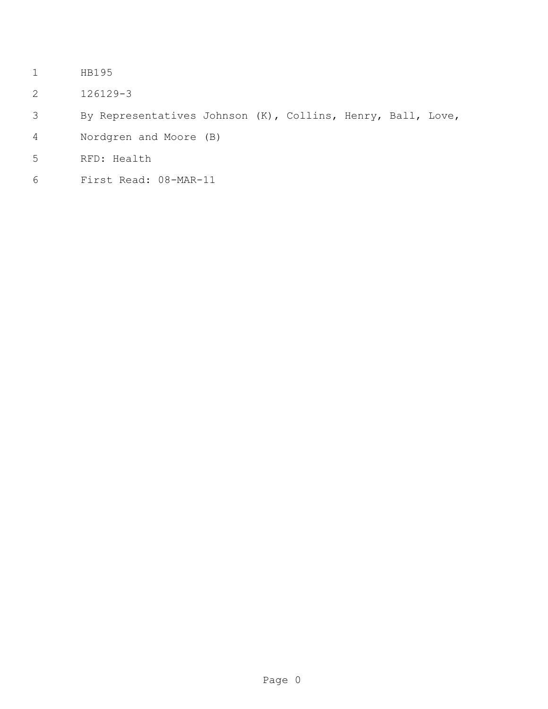- HB195
- 126129-3
- By Representatives Johnson (K), Collins, Henry, Ball, Love,
- Nordgren and Moore (B)
- RFD: Health
- First Read: 08-MAR-11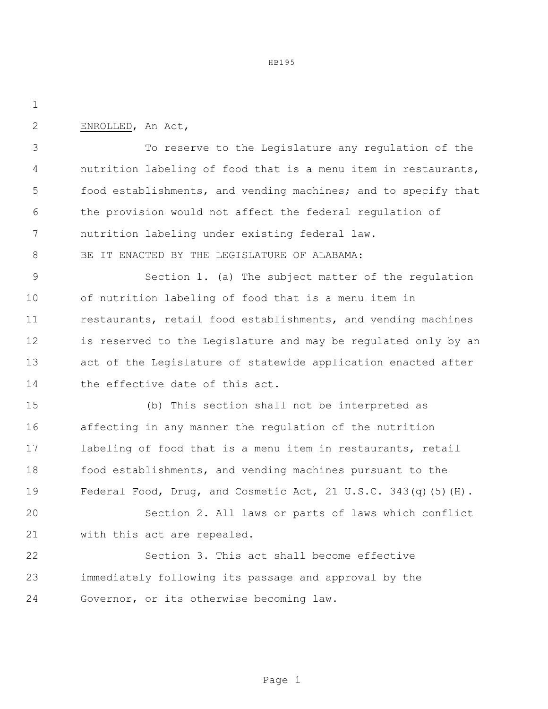HB195

ENROLLED, An Act,

 To reserve to the Legislature any regulation of the nutrition labeling of food that is a menu item in restaurants, food establishments, and vending machines; and to specify that the provision would not affect the federal regulation of nutrition labeling under existing federal law.

8 BE IT ENACTED BY THE LEGISLATURE OF ALABAMA:

 Section 1. (a) The subject matter of the regulation of nutrition labeling of food that is a menu item in 11 restaurants, retail food establishments, and vending machines is reserved to the Legislature and may be regulated only by an act of the Legislature of statewide application enacted after the effective date of this act.

 (b) This section shall not be interpreted as affecting in any manner the regulation of the nutrition labeling of food that is a menu item in restaurants, retail food establishments, and vending machines pursuant to the Federal Food, Drug, and Cosmetic Act, 21 U.S.C. 343(q)(5)(H).

 Section 2. All laws or parts of laws which conflict with this act are repealed.

 Section 3. This act shall become effective immediately following its passage and approval by the Governor, or its otherwise becoming law.